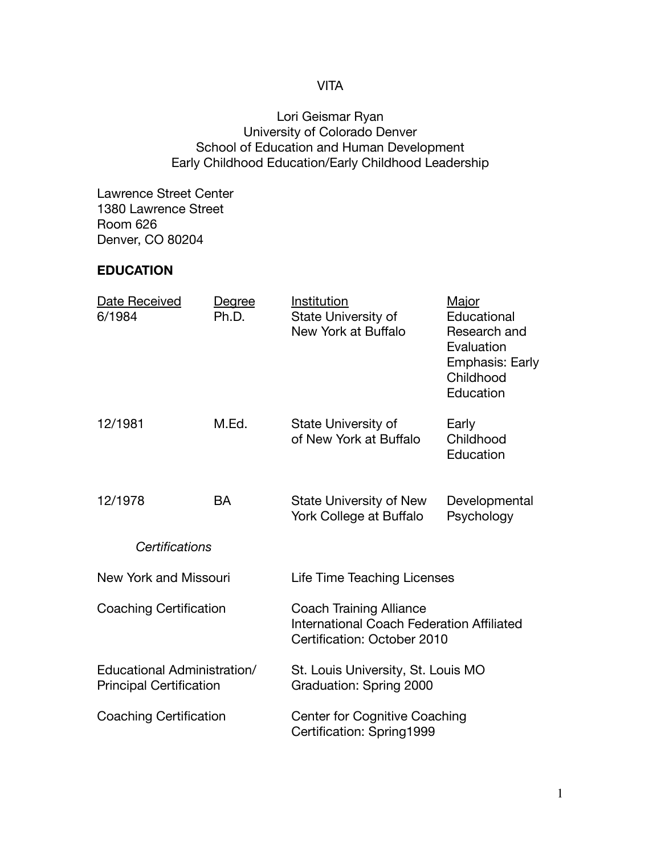# VITA

## Lori Geismar Ryan University of Colorado Denver School of Education and Human Development Early Childhood Education/Early Childhood Leadership

Lawrence Street Center 1380 Lawrence Street Room 626 Denver, CO 80204

# **EDUCATION**

| Date Received<br>6/1984                                       | Degree<br>Ph.D. | Institution<br>State University of<br>New York at Buffalo                                                  | <u>Major</u><br>Educational<br>Research and<br>Evaluation<br><b>Emphasis: Early</b><br>Childhood<br>Education |  |  |
|---------------------------------------------------------------|-----------------|------------------------------------------------------------------------------------------------------------|---------------------------------------------------------------------------------------------------------------|--|--|
| 12/1981                                                       | M.Ed.           | State University of<br>of New York at Buffalo                                                              | Early<br>Childhood<br>Education                                                                               |  |  |
| 12/1978                                                       | <b>BA</b>       | <b>State University of New</b><br>York College at Buffalo                                                  | Developmental<br>Psychology                                                                                   |  |  |
| Certifications                                                |                 |                                                                                                            |                                                                                                               |  |  |
| New York and Missouri                                         |                 |                                                                                                            | Life Time Teaching Licenses                                                                                   |  |  |
| <b>Coaching Certification</b>                                 |                 | <b>Coach Training Alliance</b><br>International Coach Federation Affiliated<br>Certification: October 2010 |                                                                                                               |  |  |
| Educational Administration/<br><b>Principal Certification</b> |                 | Graduation: Spring 2000                                                                                    | St. Louis University, St. Louis MO                                                                            |  |  |
| <b>Coaching Certification</b>                                 |                 |                                                                                                            | Center for Cognitive Coaching<br>Certification: Spring1999                                                    |  |  |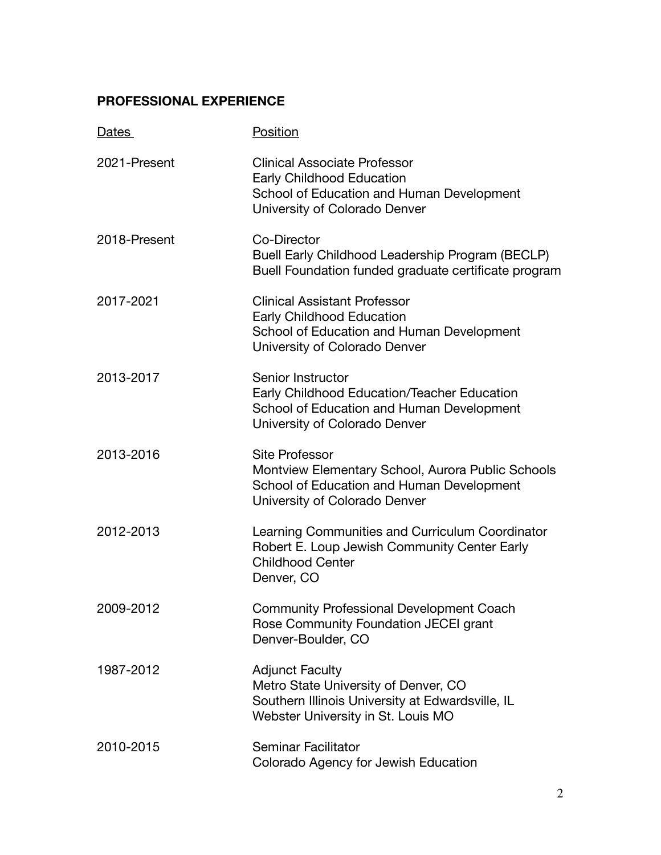# **PROFESSIONAL EXPERIENCE**

| Dates        | Position                                                                                                                                                 |
|--------------|----------------------------------------------------------------------------------------------------------------------------------------------------------|
| 2021-Present | <b>Clinical Associate Professor</b><br><b>Early Childhood Education</b><br>School of Education and Human Development<br>University of Colorado Denver    |
| 2018-Present | Co-Director<br>Buell Early Childhood Leadership Program (BECLP)<br>Buell Foundation funded graduate certificate program                                  |
| 2017-2021    | <b>Clinical Assistant Professor</b><br>Early Childhood Education<br>School of Education and Human Development<br>University of Colorado Denver           |
| 2013-2017    | Senior Instructor<br>Early Childhood Education/Teacher Education<br>School of Education and Human Development<br>University of Colorado Denver           |
| 2013-2016    | <b>Site Professor</b><br>Montview Elementary School, Aurora Public Schools<br>School of Education and Human Development<br>University of Colorado Denver |
| 2012-2013    | Learning Communities and Curriculum Coordinator<br>Robert E. Loup Jewish Community Center Early<br><b>Childhood Center</b><br>Denver, CO                 |
| 2009-2012    | <b>Community Professional Development Coach</b><br>Rose Community Foundation JECEI grant<br>Denver-Boulder, CO                                           |
| 1987-2012    | <b>Adjunct Faculty</b><br>Metro State University of Denver, CO<br>Southern Illinois University at Edwardsville, IL<br>Webster University in St. Louis MO |
| 2010-2015    | <b>Seminar Facilitator</b><br>Colorado Agency for Jewish Education                                                                                       |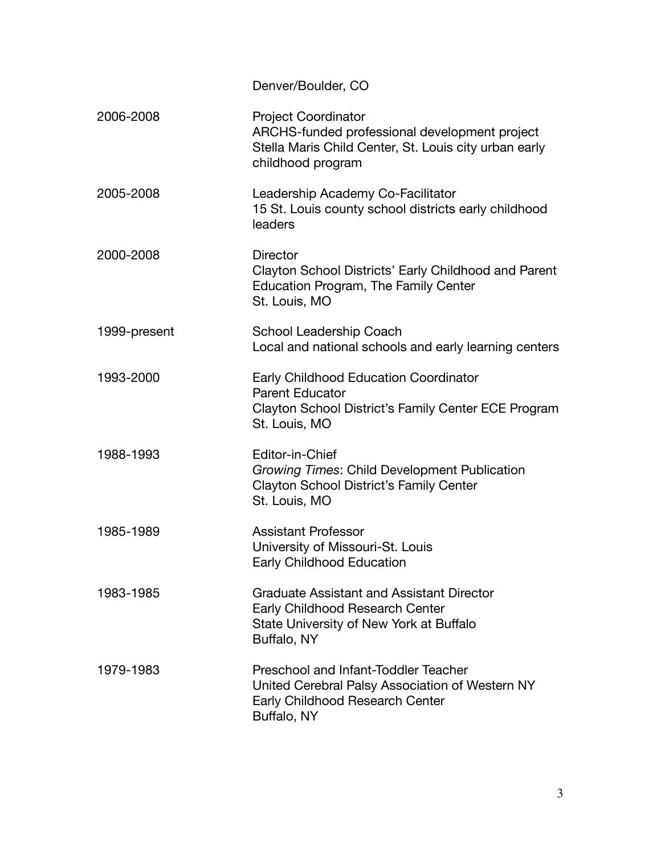|              | Denver/Boulder, CO                                                                                                                                        |
|--------------|-----------------------------------------------------------------------------------------------------------------------------------------------------------|
| 2006-2008    | <b>Project Coordinator</b><br>ARCHS-funded professional development project<br>Stella Maris Child Center, St. Louis city urban early<br>childhood program |
| 2005-2008    | Leadership Academy Co-Facilitator<br>15 St. Louis county school districts early childhood<br>leaders                                                      |
| 2000-2008    | <b>Director</b><br>Clayton School Districts' Early Childhood and Parent<br>Education Program, The Family Center<br>St. Louis, MO                          |
| 1999-present | School Leadership Coach<br>Local and national schools and early learning centers                                                                          |
| 1993-2000    | Early Childhood Education Coordinator<br><b>Parent Educator</b><br>Clayton School District's Family Center ECE Program<br>St. Louis, MO                   |
| 1988-1993    | Editor-in-Chief<br>Growing Times: Child Development Publication<br>Clayton School District's Family Center<br>St. Louis, MO                               |
| 1985-1989    | <b>Assistant Professor</b><br>University of Missouri-St. Louis<br><b>Early Childhood Education</b>                                                        |
| 1983-1985    | <b>Graduate Assistant and Assistant Director</b><br>Early Childhood Research Center<br>State University of New York at Buffalo<br>Buffalo, NY             |
| 1979-1983    | Preschool and Infant-Toddler Teacher<br>United Cerebral Palsy Association of Western NY<br>Early Childhood Research Center<br>Buffalo, NY                 |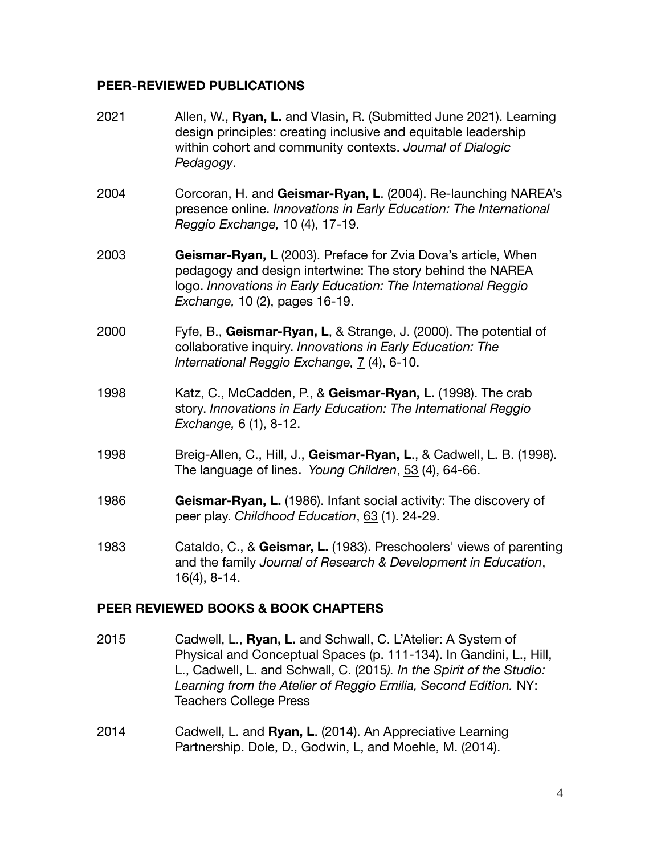#### **PEER-REVIEWED PUBLICATIONS**

- 2021 Allen, W., **Ryan, L.** and Vlasin, R. (Submitted June 2021). Learning design principles: creating inclusive and equitable leadership within cohort and community contexts. *Journal of Dialogic Pedagogy*.
- 2004 Corcoran, H. and **Geismar-Ryan, L**. (2004). Re-launching NAREA's presence online. *Innovations in Early Education: The International Reggio Exchange,* 10 (4), 17-19.
- 2003 **Geismar-Ryan, L** (2003). Preface for Zvia Dova's article, When pedagogy and design intertwine: The story behind the NAREA logo. *Innovations in Early Education: The International Reggio Exchange,* 10 (2), pages 16-19.
- 2000 Fyfe, B., **Geismar-Ryan, L**, & Strange, J. (2000). The potential of collaborative inquiry. *Innovations in Early Education: The International Reggio Exchange,* 7 (4), 6-10.
- 1998 Katz, C., McCadden, P., & **Geismar-Ryan, L.** (1998). The crab story. *Innovations in Early Education: The International Reggio Exchange,* 6 (1), 8-12.
- 1998 Breig-Allen, C., Hill, J., **Geismar-Ryan, L**., & Cadwell, L. B. (1998). The language of lines**.** *Young Children*, 53 (4), 64-66.
- 1986 **Geismar-Ryan, L.** (1986). Infant social activity: The discovery of peer play. *Childhood Education*, 63 (1). 24-29.
- 1983 Cataldo, C., & **Geismar, L.** (1983). Preschoolers' views of parenting and the family *Journal of Research & Development in Education*, 16(4), 8-14.

#### **PEER REVIEWED BOOKS & BOOK CHAPTERS**

- 2015 Cadwell, L., **Ryan, L.** and Schwall, C. L'Atelier: A System of Physical and Conceptual Spaces (p. 111-134). In Gandini, L., Hill, L., Cadwell, L. and Schwall, C. (2015*). In the Spirit of the Studio: Learning from the Atelier of Reggio Emilia, Second Edition.* NY: Teachers College Press
- 2014 Cadwell, L. and **Ryan, L**. (2014). An Appreciative Learning Partnership. Dole, D., Godwin, L, and Moehle, M. (2014).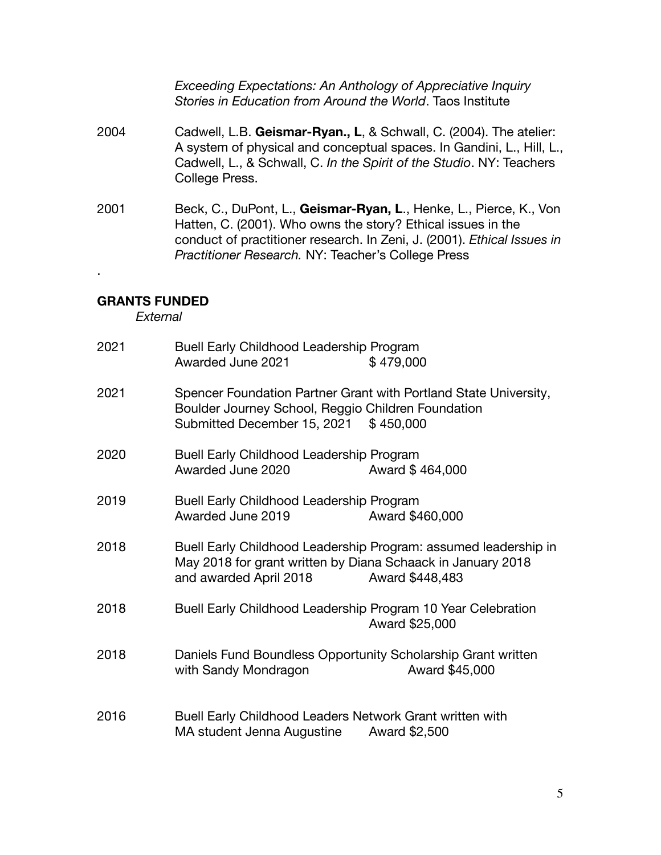*Exceeding Expectations: An Anthology of Appreciative Inquiry Stories in Education from Around the World*. Taos Institute

- 2004 Cadwell, L.B. **Geismar-Ryan., L**, & Schwall, C. (2004). The atelier: A system of physical and conceptual spaces. In Gandini, L., Hill, L., Cadwell, L., & Schwall, C. *In the Spirit of the Studio*. NY: Teachers College Press.
- 2001 Beck, C., DuPont, L., **Geismar-Ryan, L**., Henke, L., Pierce, K., Von Hatten, C. (2001). Who owns the story? Ethical issues in the conduct of practitioner research. In Zeni, J. (2001). *Ethical Issues in Practitioner Research.* NY: Teacher's College Press

### **GRANTS FUNDED**

.

*External*

| 2021 | Buell Early Childhood Leadership Program<br>Awarded June 2021                                                                                                   | \$479,000                                                                          |
|------|-----------------------------------------------------------------------------------------------------------------------------------------------------------------|------------------------------------------------------------------------------------|
| 2021 | Spencer Foundation Partner Grant with Portland State University,<br>Boulder Journey School, Reggio Children Foundation<br>Submitted December 15, 2021 \$450,000 |                                                                                    |
| 2020 | Buell Early Childhood Leadership Program<br>Awarded June 2020                                                                                                   | Award \$464,000                                                                    |
| 2019 | Buell Early Childhood Leadership Program<br>Awarded June 2019                                                                                                   | Award \$460,000                                                                    |
| 2018 | May 2018 for grant written by Diana Schaack in January 2018<br>and awarded April 2018                                                                           | Buell Early Childhood Leadership Program: assumed leadership in<br>Award \$448,483 |
| 2018 | Buell Early Childhood Leadership Program 10 Year Celebration                                                                                                    | Award \$25,000                                                                     |
| 2018 | Daniels Fund Boundless Opportunity Scholarship Grant written<br>with Sandy Mondragon                                                                            | Award \$45,000                                                                     |
| 2016 | Buell Early Childhood Leaders Network Grant written with<br>MA student Jenna Augustine                                                                          | Award \$2,500                                                                      |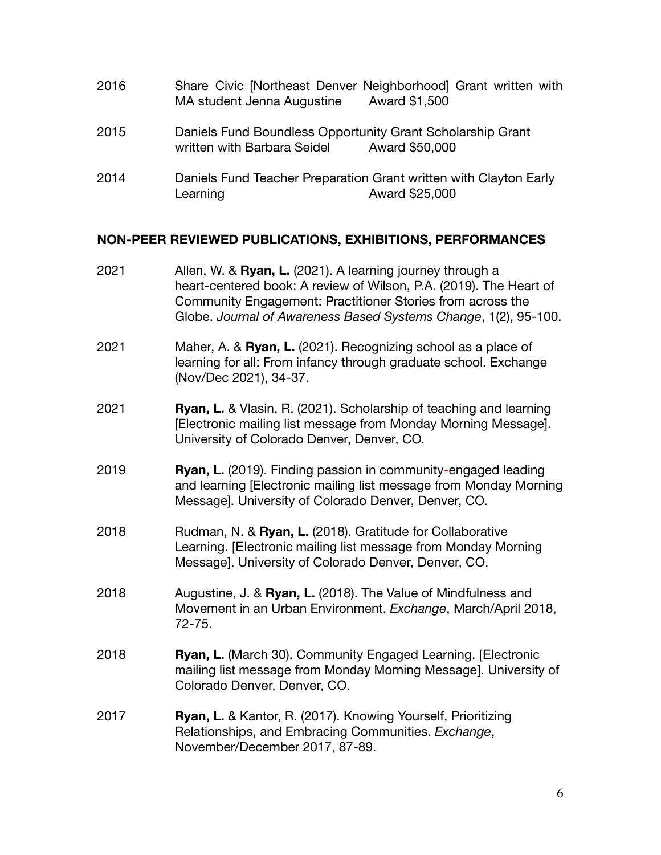| 2016 | MA student Jenna Augustine                                                                | Share Civic [Northeast Denver Neighborhood] Grant written with<br>Award \$1,500 |
|------|-------------------------------------------------------------------------------------------|---------------------------------------------------------------------------------|
| 2015 | Daniels Fund Boundless Opportunity Grant Scholarship Grant<br>written with Barbara Seidel | Award \$50,000                                                                  |
| 2014 | Daniels Fund Teacher Preparation Grant written with Clayton Early<br>Learning             | Award \$25,000                                                                  |

### **NON-PEER REVIEWED PUBLICATIONS, EXHIBITIONS, PERFORMANCES**

- 2021 Allen, W. & **Ryan, L.** (2021). A learning journey through a heart-centered book: A review of Wilson, P.A. (2019). The Heart of Community Engagement: Practitioner Stories from across the Globe. *Journal of Awareness Based Systems Change*, 1(2), 95-100.
- 2021 Maher, A. & **Ryan, L.** (2021). Recognizing school as a place of learning for all: From infancy through graduate school. Exchange (Nov/Dec 2021), 34-37.
- 2021 **Ryan, L.** & Vlasin, R. (2021). Scholarship of teaching and learning [Electronic mailing list message from Monday Morning Message]. University of Colorado Denver, Denver, CO.
- 2019 **Ryan, L.** (2019). Finding passion in community-engaged leading and learning [Electronic mailing list message from Monday Morning Message]. University of Colorado Denver, Denver, CO.
- 2018 Rudman, N. & **Ryan, L.** (2018). Gratitude for Collaborative Learning. [Electronic mailing list message from Monday Morning Message]. University of Colorado Denver, Denver, CO.
- 2018 Augustine, J. & **Ryan, L.** (2018). The Value of Mindfulness and Movement in an Urban Environment. *Exchange*, March/April 2018, 72-75.
- 2018 **Ryan, L.** (March 30). Community Engaged Learning. [Electronic mailing list message from Monday Morning Message]. University of Colorado Denver, Denver, CO.
- 2017 **Ryan, L.** & Kantor, R. (2017). Knowing Yourself, Prioritizing Relationships, and Embracing Communities. *Exchange*, November/December 2017, 87-89.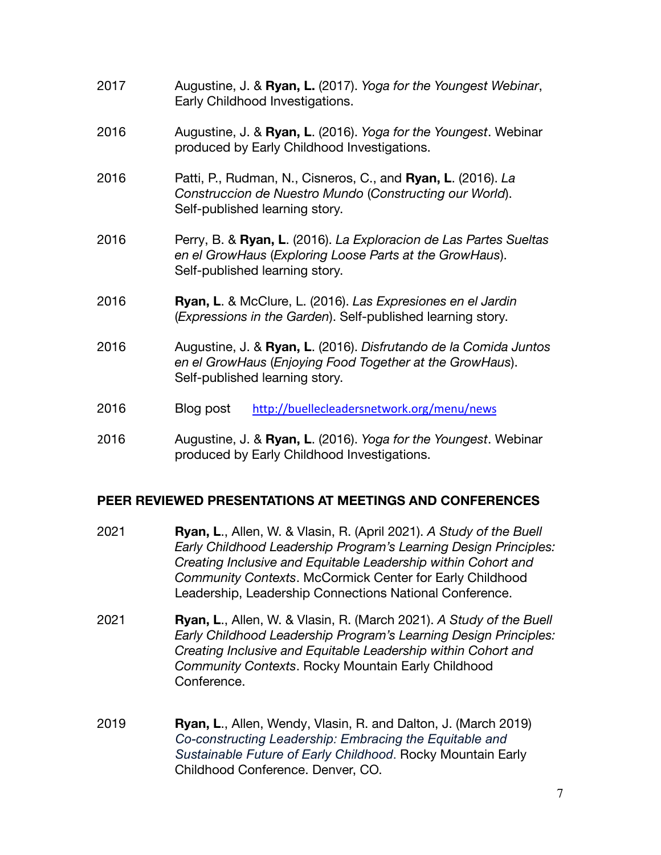- 2017 Augustine, J. & **Ryan, L.** (2017). *Yoga for the Youngest Webinar*, Early Childhood Investigations. 2016 Augustine, J. & **Ryan, L**. (2016). *Yoga for the Youngest*. Webinar produced by Early Childhood Investigations. 2016 Patti, P., Rudman, N., Cisneros, C., and **Ryan, L**. (2016). *La Construccion de Nuestro Mundo* (*Constructing our World*). Self-published learning story. 2016 Perry, B. & **Ryan, L**. (2016). *La Exploracion de Las Partes Sueltas en el GrowHaus* (*Exploring Loose Parts at the GrowHaus*). Self-published learning story. 2016 **Ryan, L**. & McClure, L. (2016). *Las Expresiones en el Jardin* (*Expressions in the Garden*). Self-published learning story. 2016 Augustine, J. & **Ryan, L**. (2016). *Disfrutando de la Comida Juntos en el GrowHaus* (*Enjoying Food Together at the GrowHaus*). Self-published learning story. 2016 Blog post <http://buellecleadersnetwork.org/menu/news>
- 2016 Augustine, J. & **Ryan, L**. (2016). *Yoga for the Youngest*. Webinar produced by Early Childhood Investigations.

#### **PEER REVIEWED PRESENTATIONS AT MEETINGS AND CONFERENCES**

- 2021 **Ryan, L**., Allen, W. & Vlasin, R. (April 2021). *A Study of the Buell Early Childhood Leadership Program's Learning Design Principles: Creating Inclusive and Equitable Leadership within Cohort and Community Contexts*. McCormick Center for Early Childhood Leadership, Leadership Connections National Conference.
- 2021 **Ryan, L**., Allen, W. & Vlasin, R. (March 2021). *A Study of the Buell Early Childhood Leadership Program's Learning Design Principles: Creating Inclusive and Equitable Leadership within Cohort and Community Contexts*. Rocky Mountain Early Childhood Conference.
- 2019 **Ryan, L**., Allen, Wendy, Vlasin, R. and Dalton, J. (March 2019) *Co-constructing Leadership: Embracing the Equitable and Sustainable Future of Early Childhood*. Rocky Mountain Early Childhood Conference. Denver, CO.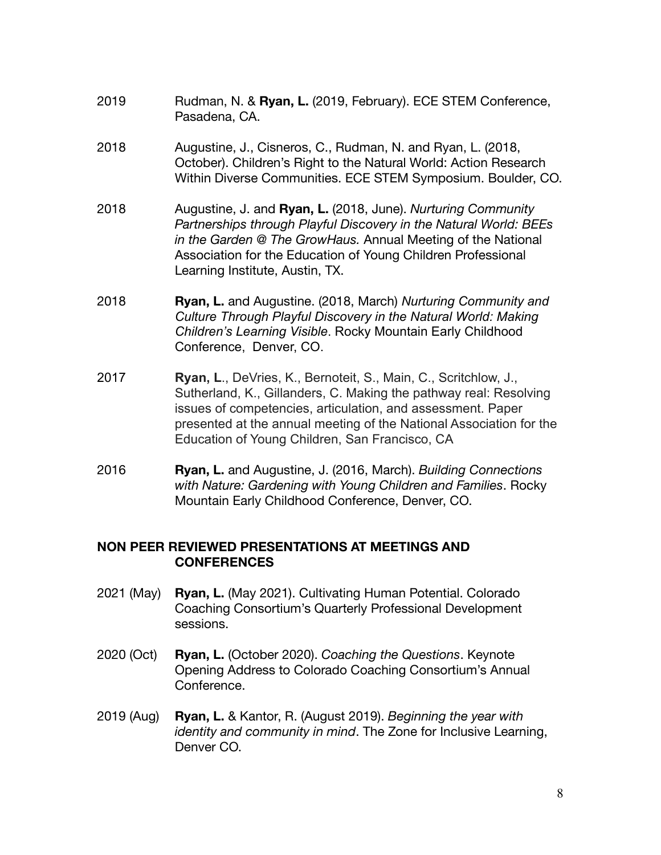- 2019 Rudman, N. & **Ryan, L.** (2019, February). ECE STEM Conference, Pasadena, CA.
- 2018 Augustine, J., Cisneros, C., Rudman, N. and Ryan, L. (2018, October). Children's Right to the Natural World: Action Research Within Diverse Communities. ECE STEM Symposium. Boulder, CO.
- 2018 Augustine, J. and **Ryan, L.** (2018, June). *Nurturing Community Partnerships through Playful Discovery in the Natural World: BEEs in the Garden @ The GrowHaus.* Annual Meeting of the National Association for the Education of Young Children Professional Learning Institute, Austin, TX.
- 2018 **Ryan, L.** and Augustine. (2018, March) *Nurturing Community and Culture Through Playful Discovery in the Natural World: Making Children's Learning Visible*. Rocky Mountain Early Childhood Conference, Denver, CO.
- 2017 **Ryan, L**., DeVries, K., Bernoteit, S., Main, C., Scritchlow, J., Sutherland, K., Gillanders, C. Making the pathway real: Resolving issues of competencies, articulation, and assessment. Paper presented at the annual meeting of the National Association for the Education of Young Children, San Francisco, CA
- 2016 **Ryan, L.** and Augustine, J. (2016, March). *Building Connections with Nature: Gardening with Young Children and Families*. Rocky Mountain Early Childhood Conference, Denver, CO.

### **NON PEER REVIEWED PRESENTATIONS AT MEETINGS AND CONFERENCES**

- 2021 (May) **Ryan, L.** (May 2021). Cultivating Human Potential. Colorado Coaching Consortium's Quarterly Professional Development sessions.
- 2020 (Oct) **Ryan, L.** (October 2020). *Coaching the Questions*. Keynote Opening Address to Colorado Coaching Consortium's Annual Conference.
- 2019 (Aug) **Ryan, L.** & Kantor, R. (August 2019). *Beginning the year with identity and community in mind*. The Zone for Inclusive Learning, Denver CO.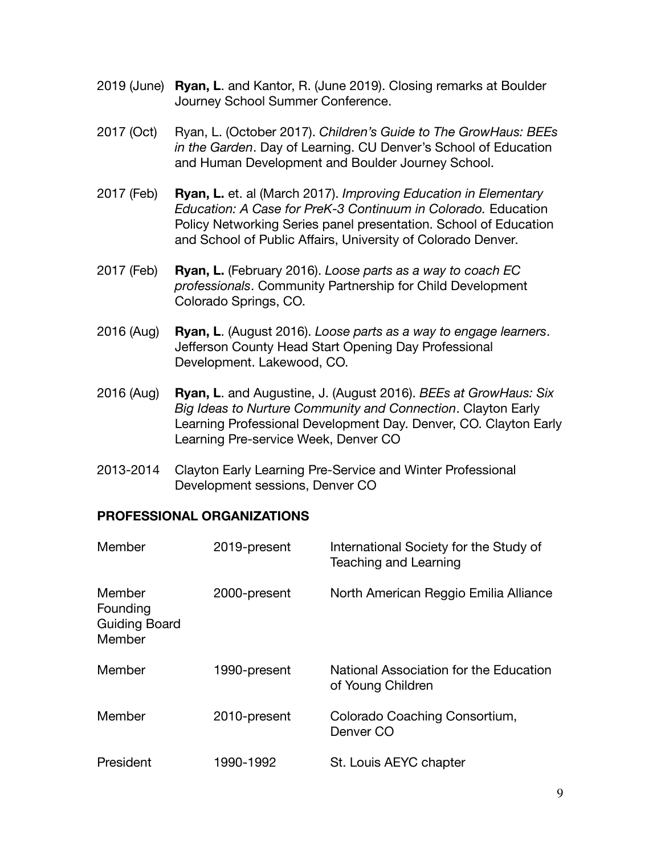- 2019 (June) **Ryan, L**. and Kantor, R. (June 2019). Closing remarks at Boulder Journey School Summer Conference.
- 2017 (Oct) Ryan, L. (October 2017). *Children's Guide to The GrowHaus: BEEs in the Garden*. Day of Learning. CU Denver's School of Education and Human Development and Boulder Journey School.
- 2017 (Feb) **Ryan, L.** et. al (March 2017). *Improving Education in Elementary Education: A Case for PreK-3 Continuum in Colorado.* Education Policy Networking Series panel presentation. School of Education and School of Public Affairs, University of Colorado Denver.
- 2017 (Feb) **Ryan, L.** (February 2016). *Loose parts as a way to coach EC professionals*. Community Partnership for Child Development Colorado Springs, CO.
- 2016 (Aug) **Ryan, L**. (August 2016). *Loose parts as a way to engage learners*. Jefferson County Head Start Opening Day Professional Development. Lakewood, CO.
- 2016 (Aug) **Ryan, L**. and Augustine, J. (August 2016). *BEEs at GrowHaus: Six Big Ideas to Nurture Community and Connection*. Clayton Early Learning Professional Development Day. Denver, CO. Clayton Early Learning Pre-service Week, Denver CO
- 2013-2014 Clayton Early Learning Pre-Service and Winter Professional Development sessions, Denver CO

## **PROFESSIONAL ORGANIZATIONS**

| Member                                               | 2019-present | International Society for the Study of<br>Teaching and Learning |
|------------------------------------------------------|--------------|-----------------------------------------------------------------|
| Member<br>Founding<br><b>Guiding Board</b><br>Member | 2000-present | North American Reggio Emilia Alliance                           |
| Member                                               | 1990-present | National Association for the Education<br>of Young Children     |
| Member                                               | 2010-present | Colorado Coaching Consortium,<br>Denver <sub>CO</sub>           |
| President                                            | 1990-1992    | St. Louis AEYC chapter                                          |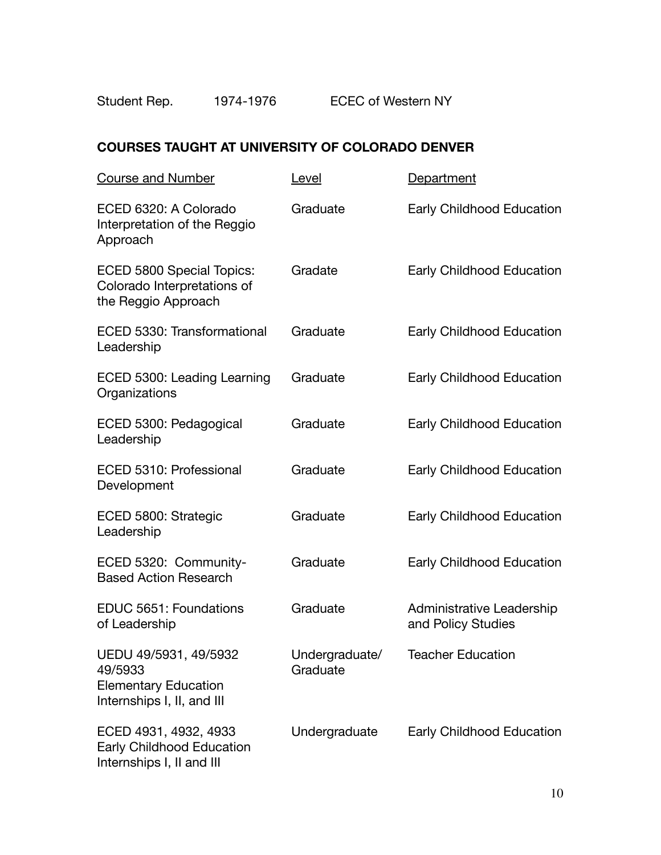| Student Rep. | 1974-1976 | <b>ECEC of Western NY</b> |
|--------------|-----------|---------------------------|
|--------------|-----------|---------------------------|

# **COURSES TAUGHT AT UNIVERSITY OF COLORADO DENVER**

| <b>Course and Number</b>                                                                      | Level                      | Department                                      |
|-----------------------------------------------------------------------------------------------|----------------------------|-------------------------------------------------|
| ECED 6320: A Colorado<br>Interpretation of the Reggio<br>Approach                             | Graduate                   | Early Childhood Education                       |
| ECED 5800 Special Topics:<br>Colorado Interpretations of<br>the Reggio Approach               | Gradate                    | Early Childhood Education                       |
| ECED 5330: Transformational<br>Leadership                                                     | Graduate                   | Early Childhood Education                       |
| ECED 5300: Leading Learning<br>Organizations                                                  | Graduate                   | Early Childhood Education                       |
| ECED 5300: Pedagogical<br>Leadership                                                          | Graduate                   | Early Childhood Education                       |
| ECED 5310: Professional<br>Development                                                        | Graduate                   | Early Childhood Education                       |
| ECED 5800: Strategic<br>Leadership                                                            | Graduate                   | Early Childhood Education                       |
| ECED 5320: Community-<br><b>Based Action Research</b>                                         | Graduate                   | Early Childhood Education                       |
| EDUC 5651: Foundations<br>of Leadership                                                       | Graduate                   | Administrative Leadership<br>and Policy Studies |
| UEDU 49/5931, 49/5932<br>49/5933<br><b>Elementary Education</b><br>Internships I, II, and III | Undergraduate/<br>Graduate | <b>Teacher Education</b>                        |
| ECED 4931, 4932, 4933<br>Early Childhood Education<br>Internships I, II and III               | Undergraduate              | Early Childhood Education                       |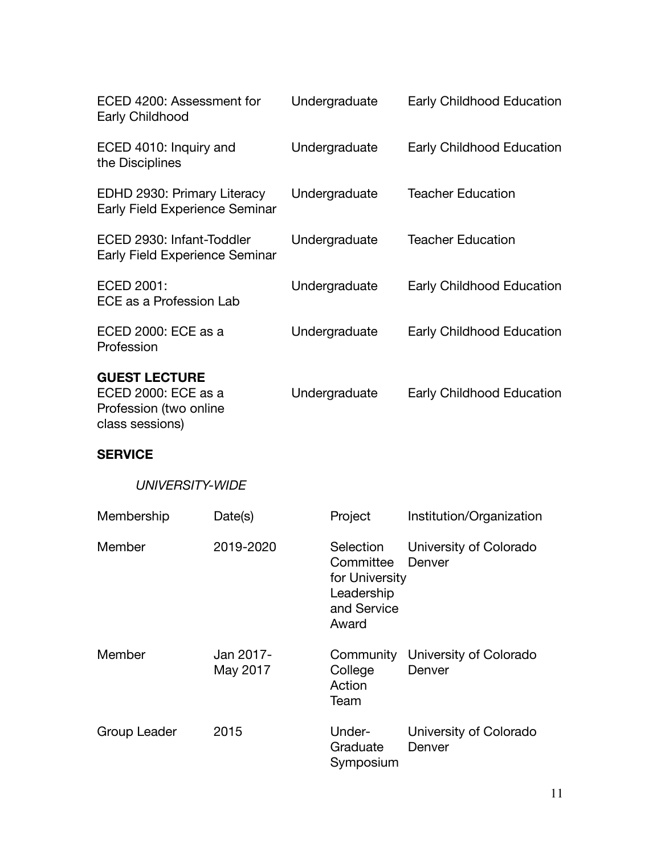| ECED 4200: Assessment for<br>Early Childhood                                             | Undergraduate | Early Childhood Education |
|------------------------------------------------------------------------------------------|---------------|---------------------------|
| ECED 4010: Inquiry and<br>the Disciplines                                                | Undergraduate | Early Childhood Education |
| EDHD 2930: Primary Literacy<br>Early Field Experience Seminar                            | Undergraduate | <b>Teacher Education</b>  |
| ECED 2930: Infant-Toddler<br>Early Field Experience Seminar                              | Undergraduate | <b>Teacher Education</b>  |
| ECED 2001:<br>ECE as a Profession Lab                                                    | Undergraduate | Early Childhood Education |
| ECED 2000: ECE as a<br>Profession                                                        | Undergraduate | Early Childhood Education |
| <b>GUEST LECTURE</b><br>ECED 2000: ECE as a<br>Profession (two online<br>class sessions) | Undergraduate | Early Childhood Education |

#### **SERVICE**

# *UNIVERSITY-WIDE*

| Membership   | Date(s)               | Project                                                                        | Institution/Organization         |
|--------------|-----------------------|--------------------------------------------------------------------------------|----------------------------------|
| Member       | 2019-2020             | Selection<br>Committee<br>for University<br>Leadership<br>and Service<br>Award | University of Colorado<br>Denver |
| Member       | Jan 2017-<br>May 2017 | Community<br>College<br>Action<br>Team                                         | University of Colorado<br>Denver |
| Group Leader | 2015                  | Under-<br>Graduate<br>Symposium                                                | University of Colorado<br>Denver |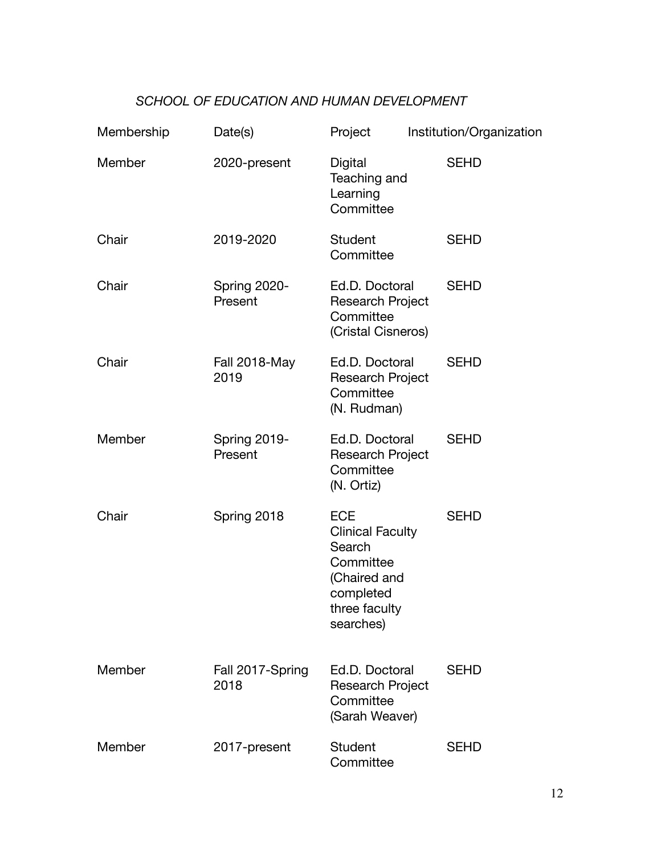# *SCHOOL OF EDUCATION AND HUMAN DEVELOPMENT*

| Membership | Date(s)                        | Project                                                                                                                 | Institution/Organization |
|------------|--------------------------------|-------------------------------------------------------------------------------------------------------------------------|--------------------------|
| Member     | 2020-present                   | Digital<br>Teaching and<br>Learning<br>Committee                                                                        | <b>SEHD</b>              |
| Chair      | 2019-2020                      | <b>Student</b><br>Committee                                                                                             | <b>SEHD</b>              |
| Chair      | <b>Spring 2020-</b><br>Present | Ed.D. Doctoral<br>Research Project<br>Committee<br>(Cristal Cisneros)                                                   | <b>SEHD</b>              |
| Chair      | Fall 2018-May<br>2019          | Ed.D. Doctoral<br><b>Research Project</b><br>Committee<br>(N. Rudman)                                                   | <b>SEHD</b>              |
| Member     | <b>Spring 2019-</b><br>Present | Ed.D. Doctoral<br><b>Research Project</b><br>Committee<br>(N. Ortiz)                                                    | <b>SEHD</b>              |
| Chair      | Spring 2018                    | <b>ECE</b><br><b>Clinical Faculty</b><br>Search<br>Committee<br>(Chaired and<br>completed<br>three faculty<br>searches) | <b>SEHD</b>              |
| Member     | Fall 2017-Spring<br>2018       | Ed.D. Doctoral<br>Research Project<br>Committee<br>(Sarah Weaver)                                                       | <b>SEHD</b>              |
| Member     | 2017-present                   | <b>Student</b><br>Committee                                                                                             | <b>SEHD</b>              |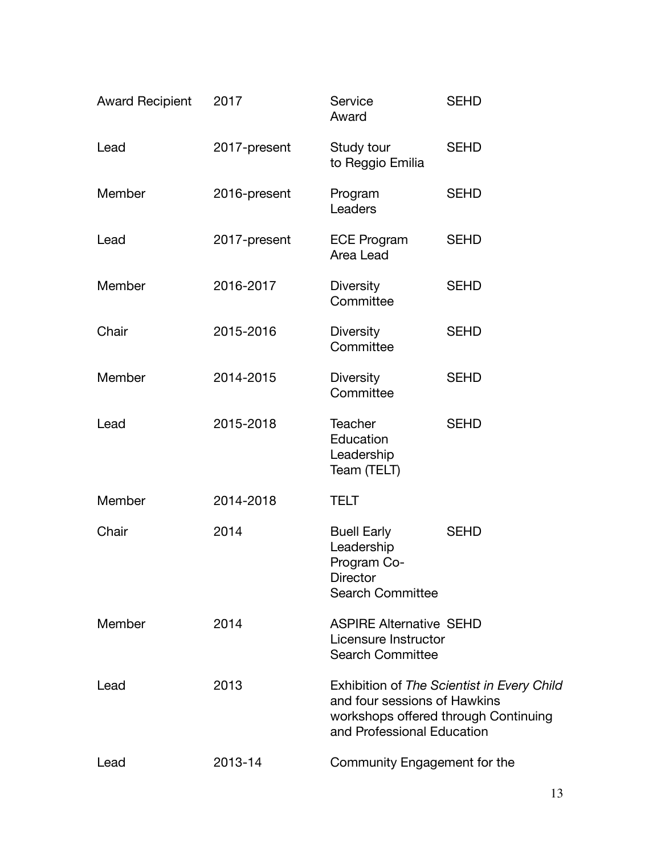| <b>Award Recipient</b> | 2017         | Service<br>Award                                                                                   | <b>SEHD</b>                                |
|------------------------|--------------|----------------------------------------------------------------------------------------------------|--------------------------------------------|
| Lead                   | 2017-present | Study tour<br>to Reggio Emilia                                                                     | <b>SEHD</b>                                |
| Member                 | 2016-present | Program<br>Leaders                                                                                 | <b>SEHD</b>                                |
| Lead                   | 2017-present | <b>ECE Program</b><br>Area Lead                                                                    | <b>SEHD</b>                                |
| Member                 | 2016-2017    | <b>Diversity</b><br>Committee                                                                      | <b>SEHD</b>                                |
| Chair                  | 2015-2016    | <b>Diversity</b><br>Committee                                                                      | <b>SEHD</b>                                |
| Member                 | 2014-2015    | <b>Diversity</b><br>Committee                                                                      | <b>SEHD</b>                                |
| Lead                   | 2015-2018    | <b>Teacher</b><br>Education<br>Leadership<br>Team (TELT)                                           | <b>SEHD</b>                                |
| Member                 | 2014-2018    | <b>TELT</b>                                                                                        |                                            |
| Chair                  | 2014         | <b>Buell Early</b><br>Leadership<br>Program Co-<br><b>Director</b><br><b>Search Committee</b>      | <b>SEHD</b>                                |
| Member                 | 2014         | <b>ASPIRE Alternative SEHD</b><br>Licensure Instructor<br><b>Search Committee</b>                  |                                            |
| Lead                   | 2013         | and four sessions of Hawkins<br>workshops offered through Continuing<br>and Professional Education | Exhibition of The Scientist in Every Child |
| Lead                   | 2013-14      | Community Engagement for the                                                                       |                                            |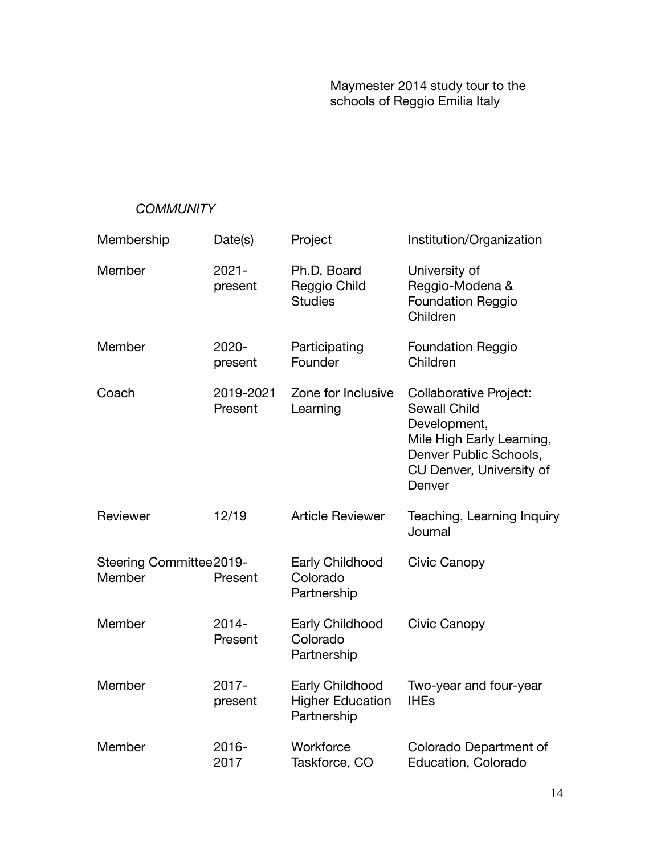## *COMMUNITY*

| Membership                        | Date(s)              | Project                                                   | Institution/Organization                                                                                                                                          |
|-----------------------------------|----------------------|-----------------------------------------------------------|-------------------------------------------------------------------------------------------------------------------------------------------------------------------|
| Member                            | $2021 -$<br>present  | Ph.D. Board<br>Reggio Child<br><b>Studies</b>             | University of<br>Reggio-Modena &<br><b>Foundation Reggio</b><br>Children                                                                                          |
| Member                            | 2020-<br>present     | Participating<br>Founder                                  | <b>Foundation Reggio</b><br>Children                                                                                                                              |
| Coach                             | 2019-2021<br>Present | Zone for Inclusive<br>Learning                            | <b>Collaborative Project:</b><br><b>Sewall Child</b><br>Development,<br>Mile High Early Learning,<br>Denver Public Schools,<br>CU Denver, University of<br>Denver |
| Reviewer                          | 12/19                | <b>Article Reviewer</b>                                   | Teaching, Learning Inquiry<br>Journal                                                                                                                             |
| Steering Committee2019-<br>Member | Present              | Early Childhood<br>Colorado<br>Partnership                | Civic Canopy                                                                                                                                                      |
| Member                            | 2014-<br>Present     | Early Childhood<br>Colorado<br>Partnership                | Civic Canopy                                                                                                                                                      |
| Member                            | 2017-<br>present     | Early Childhood<br><b>Higher Education</b><br>Partnership | Two-year and four-year<br><b>IHEs</b>                                                                                                                             |
| Member                            | 2016-<br>2017        | Workforce<br>Taskforce, CO                                | Colorado Department of<br>Education, Colorado                                                                                                                     |